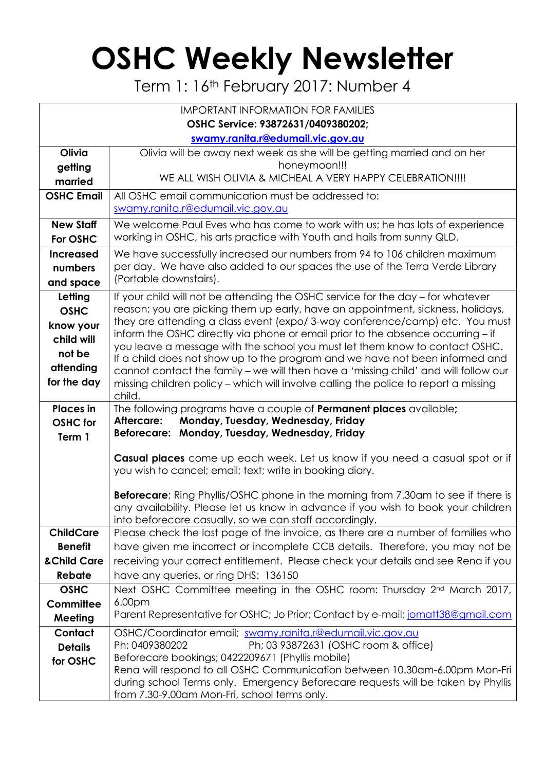## **OSHC Weekly Newsletter**

Term 1: 16th February 2017: Number 4

| <b>IMPORTANT INFORMATION FOR FAMILIES</b> |                                                                                                                                                                    |  |  |  |  |  |
|-------------------------------------------|--------------------------------------------------------------------------------------------------------------------------------------------------------------------|--|--|--|--|--|
| OSHC Service: 93872631/0409380202;        |                                                                                                                                                                    |  |  |  |  |  |
|                                           | swamy.ranita.r@edumail.vic.gov.au                                                                                                                                  |  |  |  |  |  |
| Olivia                                    | Olivia will be away next week as she will be getting married and on her                                                                                            |  |  |  |  |  |
| getting                                   | honeymoon!!!                                                                                                                                                       |  |  |  |  |  |
| married                                   | WE ALL WISH OLIVIA & MICHEAL A VERY HAPPY CELEBRATION !!!!                                                                                                         |  |  |  |  |  |
| <b>OSHC Email</b>                         | All OSHC email communication must be addressed to:                                                                                                                 |  |  |  |  |  |
|                                           | swamy.ranita.r@edumail.vic.gov.au                                                                                                                                  |  |  |  |  |  |
| <b>New Staff</b>                          | We welcome Paul Eves who has come to work with us; he has lots of experience                                                                                       |  |  |  |  |  |
| For OSHC                                  | working in OSHC, his arts practice with Youth and hails from sunny QLD.                                                                                            |  |  |  |  |  |
| <b>Increased</b>                          | We have successfully increased our numbers from 94 to 106 children maximum                                                                                         |  |  |  |  |  |
| numbers                                   | per day. We have also added to our spaces the use of the Terra Verde Library<br>(Portable downstairs).                                                             |  |  |  |  |  |
| and space                                 |                                                                                                                                                                    |  |  |  |  |  |
| Letting                                   | If your child will not be attending the OSHC service for the day – for whatever<br>reason; you are picking them up early, have an appointment, sickness, holidays, |  |  |  |  |  |
| <b>OSHC</b>                               | they are attending a class event (expo/3-way conference/camp) etc. You must                                                                                        |  |  |  |  |  |
| know your                                 | inform the OSHC directly via phone or email prior to the absence occurring - if                                                                                    |  |  |  |  |  |
| child will                                | you leave a message with the school you must let them know to contact OSHC.                                                                                        |  |  |  |  |  |
| not be                                    | If a child does not show up to the program and we have not been informed and                                                                                       |  |  |  |  |  |
| attending                                 | cannot contact the family - we will then have a 'missing child' and will follow our                                                                                |  |  |  |  |  |
| for the day                               | missing children policy - which will involve calling the police to report a missing<br>child.                                                                      |  |  |  |  |  |
| <b>Places</b> in                          | The following programs have a couple of <b>Permanent places</b> available;                                                                                         |  |  |  |  |  |
| <b>OSHC</b> for                           | Monday, Tuesday, Wednesday, Friday<br>Aftercare:                                                                                                                   |  |  |  |  |  |
| Term 1                                    | Beforecare: Monday, Tuesday, Wednesday, Friday                                                                                                                     |  |  |  |  |  |
|                                           | Casual places come up each week. Let us know if you need a casual spot or if                                                                                       |  |  |  |  |  |
|                                           | you wish to cancel; email; text; write in booking diary.                                                                                                           |  |  |  |  |  |
|                                           |                                                                                                                                                                    |  |  |  |  |  |
|                                           | <b>Beforecare</b> ; Ring Phyllis/OSHC phone in the morning from 7.30am to see if there is                                                                          |  |  |  |  |  |
|                                           | any availability. Please let us know in advance if you wish to book your children                                                                                  |  |  |  |  |  |
| <b>ChildCare</b>                          | into beforecare casually, so we can staff accordingly.<br>Please check the last page of the invoice, as there are a number of families who                         |  |  |  |  |  |
| <b>Benefit</b>                            | have given me incorrect or incomplete CCB details. Therefore, you may not be                                                                                       |  |  |  |  |  |
| & Child Care                              | receiving your correct entitlement. Please check your details and see Rena if you                                                                                  |  |  |  |  |  |
| Rebate                                    | have any queries, or ring DHS: 136150                                                                                                                              |  |  |  |  |  |
| <b>OSHC</b>                               | Next OSHC Committee meeting in the OSHC room: Thursday 2 <sup>nd</sup> March 2017,                                                                                 |  |  |  |  |  |
| Committee                                 | 6.00 <sub>pm</sub>                                                                                                                                                 |  |  |  |  |  |
| Meeting                                   | Parent Representative for OSHC; Jo Prior; Contact by e-mail; jomatt38@gmail.com                                                                                    |  |  |  |  |  |
| Contact                                   | OSHC/Coordinator email; swamy.ranita.r@edumail.vic.gov.au                                                                                                          |  |  |  |  |  |
| <b>Details</b>                            | Ph; 0409380202<br>Ph; 03 93872631 (OSHC room & office)                                                                                                             |  |  |  |  |  |
| for OSHC                                  | Beforecare bookings; 0422209671 (Phyllis mobile)                                                                                                                   |  |  |  |  |  |
|                                           | Rena will respond to all OSHC Communication between 10.30am-6.00pm Mon-Fri                                                                                         |  |  |  |  |  |
|                                           | during school Terms only. Emergency Beforecare requests will be taken by Phyllis<br>from 7.30-9.00am Mon-Fri, school terms only.                                   |  |  |  |  |  |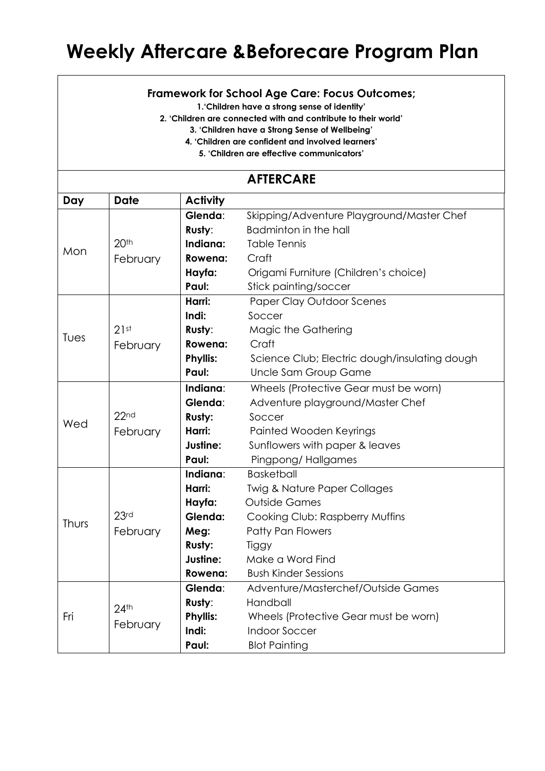## **Weekly Aftercare &Beforecare Program Plan**

## **Framework for School Age Care: Focus Outcomes;**

**1.'Children have a strong sense of identity'**

**2. 'Children are connected with and contribute to their world'**

**3. 'Children have a Strong Sense of Wellbeing'**

**4. 'Children are confident and involved learners'**

**5. 'Children are effective communicators'**

## **AFTERCARE**

| Day   | <b>Date</b>                  | <b>Activity</b> |                                               |  |  |  |
|-------|------------------------------|-----------------|-----------------------------------------------|--|--|--|
|       |                              | Glenda:         | Skipping/Adventure Playground/Master Chef     |  |  |  |
|       |                              | Rusty:          | Badminton in the hall                         |  |  |  |
| Mon   | 20 <sup>th</sup>             | Indiana:        | <b>Table Tennis</b>                           |  |  |  |
|       | February                     | Rowena:         | Craft                                         |  |  |  |
|       |                              | Hayfa:          | Origami Furniture (Children's choice)         |  |  |  |
|       |                              | Paul:           | Stick painting/soccer                         |  |  |  |
| Tues  |                              | Harri:          | <b>Paper Clay Outdoor Scenes</b>              |  |  |  |
|       |                              | Indi:           | Soccer                                        |  |  |  |
|       | 21st                         | Rusty:          | Magic the Gathering                           |  |  |  |
|       | February                     | Rowena:         | Craft                                         |  |  |  |
|       | <b>Phyllis:</b>              |                 | Science Club; Electric dough/insulating dough |  |  |  |
|       |                              | Paul:           | Uncle Sam Group Game                          |  |  |  |
|       |                              | Indiana:        | Wheels (Protective Gear must be worn)         |  |  |  |
|       |                              | Glenda:         | Adventure playground/Master Chef              |  |  |  |
| Wed   | 22 <sub>nd</sub>             | Rusty:          | Soccer                                        |  |  |  |
|       | February                     | Harri:          | Painted Wooden Keyrings                       |  |  |  |
|       |                              | Justine:        | Sunflowers with paper & leaves                |  |  |  |
|       |                              | Paul:           | Pingpong/Hallgames                            |  |  |  |
|       |                              | Indiana:        | <b>Basketball</b>                             |  |  |  |
|       |                              | Harri:          | <b>Twig &amp; Nature Paper Collages</b>       |  |  |  |
|       |                              | Hayfa:          | <b>Outside Games</b>                          |  |  |  |
| Thurs | 23 <sub>rd</sub>             | Glenda:         | Cooking Club: Raspberry Muffins               |  |  |  |
|       | February                     | Meg:            | Patty Pan Flowers                             |  |  |  |
|       |                              | Rusty:          | Tiggy                                         |  |  |  |
|       |                              | Justine:        | Make a Word Find                              |  |  |  |
|       |                              | Rowena:         | <b>Bush Kinder Sessions</b>                   |  |  |  |
| Fri   |                              | Glenda:         | Adventure/Masterchef/Outside Games            |  |  |  |
|       | 24 <sup>th</sup><br>February | Rusty:          | Handball                                      |  |  |  |
|       |                              | <b>Phyllis:</b> | Wheels (Protective Gear must be worn)         |  |  |  |
|       |                              | Indi:           | <b>Indoor Soccer</b>                          |  |  |  |
|       |                              | Paul:           | <b>Blot Painting</b>                          |  |  |  |